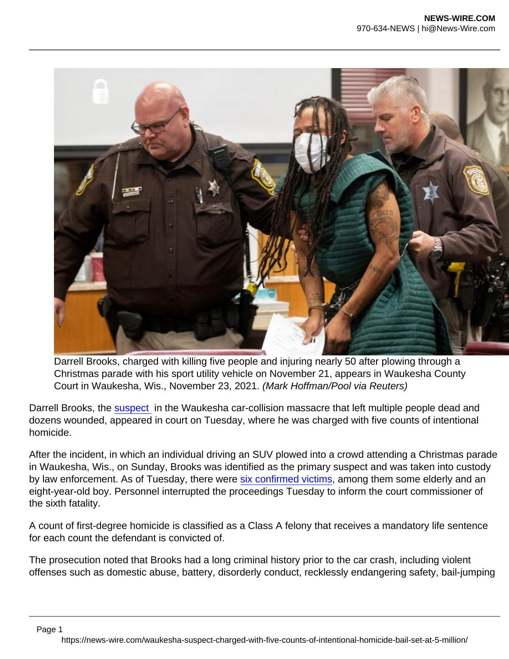Darrell Brooks, charged with killing five people and injuring nearly 50 after plowing through a Christmas parade with his sport utility vehicle on November 21, appears in Waukesha County Court in Waukesha, Wis., November 23, 2021. (Mark Hoffman/Pool via Reuters)

Darrell Brooks, the [suspect](https://www.nationalreview.com/news/vehicles-smashes-into-wisconsin-christmas-parade-crowd-killing-five-wounding-dozens/) in the Waukesha car-collision massacre that left multiple people dead and dozens wounded, appeared in court on Tuesday, where he was charged with five counts of intentional homicide.

After the incident, in which an individual driving an SUV plowed into a crowd attending a Christmas parade in Waukesha, Wis., on Sunday, Brooks was identified as the primary suspect and was taken into custody by law enforcement. As of Tuesday, there were [six confirmed victims,](https://www.nationalreview.com/the-morning-jolt/horror-in-waukesha/) among them some elderly and an eight-year-old boy. Personnel interrupted the proceedings Tuesday to inform the court commissioner of the sixth fatality.

A count of first-degree homicide is classified as a Class A felony that receives a mandatory life sentence for each count the defendant is convicted of.

The prosecution noted that Brooks had a long criminal history prior to the car crash, including violent offenses such as domestic abuse, battery, disorderly conduct, recklessly endangering safety, bail-jumping

Page 1